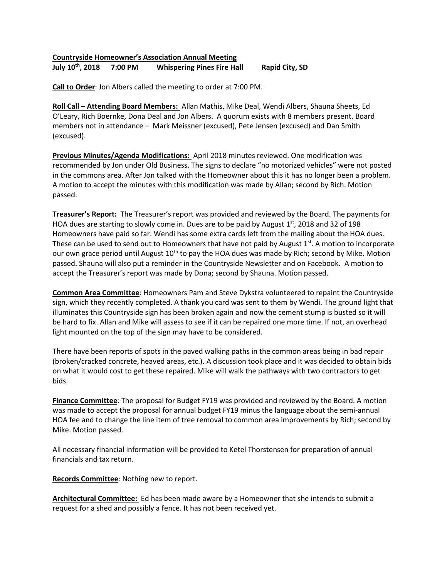## **Countryside Homeowner's Association Annual Meeting July 10th , 2018 7:00 PM Whispering Pines Fire Hall Rapid City, SD**

**Call to Order**: Jon Albers called the meeting to order at 7:00 PM.

**Roll Call – Attending Board Members:** Allan Mathis, Mike Deal, Wendi Albers, Shauna Sheets, Ed O'Leary, Rich Boernke, Dona Deal and Jon Albers. A quorum exists with 8 members present. Board members not in attendance – Mark Meissner (excused), Pete Jensen (excused) and Dan Smith (excused).

**Previous Minutes/Agenda Modifications:** April 2018 minutes reviewed. One modification was recommended by Jon under Old Business. The signs to declare "no motorized vehicles" were not posted in the commons area. After Jon talked with the Homeowner about this it has no longer been a problem. A motion to accept the minutes with this modification was made by Allan; second by Rich. Motion passed.

**Treasurer's Report:** The Treasurer's report was provided and reviewed by the Board. The payments for HOA dues are starting to slowly come in. Dues are to be paid by August  $1<sup>st</sup>$ , 2018 and 32 of 198 Homeowners have paid so far. Wendi has some extra cards left from the mailing about the HOA dues. These can be used to send out to Homeowners that have not paid by August  $1<sup>st</sup>$ . A motion to incorporate our own grace period until August  $10^{th}$  to pay the HOA dues was made by Rich; second by Mike. Motion passed. Shauna will also put a reminder in the Countryside Newsletter and on Facebook. A motion to accept the Treasurer's report was made by Dona; second by Shauna. Motion passed.

**Common Area Committee**: Homeowners Pam and Steve Dykstra volunteered to repaint the Countryside sign, which they recently completed. A thank you card was sent to them by Wendi. The ground light that illuminates this Countryside sign has been broken again and now the cement stump is busted so it will be hard to fix. Allan and Mike will assess to see if it can be repaired one more time. If not, an overhead light mounted on the top of the sign may have to be considered.

There have been reports of spots in the paved walking paths in the common areas being in bad repair (broken/cracked concrete, heaved areas, etc.). A discussion took place and it was decided to obtain bids on what it would cost to get these repaired. Mike will walk the pathways with two contractors to get bids.

**Finance Committee**: The proposal for Budget FY19 was provided and reviewed by the Board. A motion was made to accept the proposal for annual budget FY19 minus the language about the semi-annual HOA fee and to change the line item of tree removal to common area improvements by Rich; second by Mike. Motion passed.

All necessary financial information will be provided to Ketel Thorstensen for preparation of annual financials and tax return.

**Records Committee**: Nothing new to report.

**Architectural Committee:** Ed has been made aware by a Homeowner that she intends to submit a request for a shed and possibly a fence. It has not been received yet.